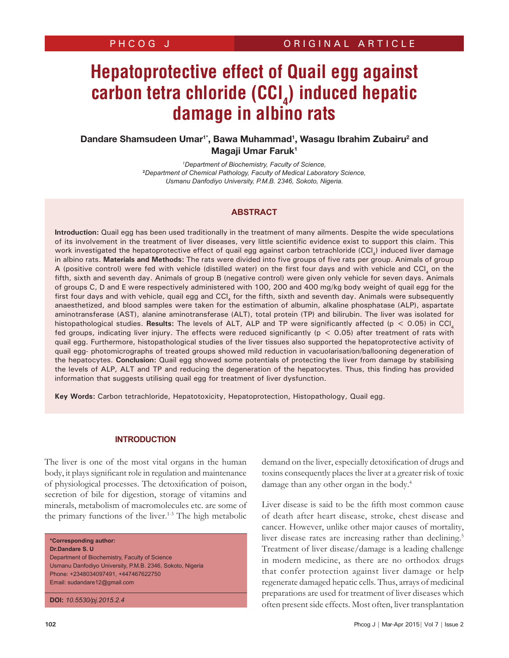# **Hepatoprotective effect of Quail egg against carbon tetra chloride (CCI<sub>4</sub>) induced hepatic damage in albino rats**

## Dandare Shamsudeen Umar<sup>1\*</sup>, Bawa Muhammad<sup>1</sup>, Wasagu Ibrahim Zubairu<sup>2</sup> and Magaji Umar Faruk1

*1 Department of Biochemistry, Faculty of Science,* **2** *Department of Chemical Pathology, Faculty of Medical Laboratory Science, Usmanu Danfodiyo University, P.M.B. 2346, Sokoto, Nigeria.*

## **ABSTRACT**

**Introduction:** Quail egg has been used traditionally in the treatment of many ailments. Despite the wide speculations of its involvement in the treatment of liver diseases, very little scientific evidence exist to support this claim. This work investigated the hepatoprotective effect of quail egg against carbon tetrachloride (CCl<sub>4</sub>) induced liver damage in albino rats. **Materials and Methods:** The rats were divided into five groups of five rats per group. Animals of group A (positive control) were fed with vehicle (distilled water) on the first four days and with vehicle and CCl, on the fifth, sixth and seventh day. Animals of group B (negative control) were given only vehicle for seven days. Animals of groups C, D and E were respectively administered with 100, 200 and 400 mg/kg body weight of quail egg for the first four days and with vehicle, quail egg and CCI, for the fifth, sixth and seventh day. Animals were subsequently anaesthetized, and blood samples were taken for the estimation of albumin, alkaline phosphatase (ALP), aspartate aminotransferase (AST), alanine aminotransferase (ALT), total protein (TP) and bilirubin. The liver was isolated for histopathological studies. **Results:** The levels of ALT, ALP and TP were significantly affected (p < 0.05) in CCl<sub>4</sub> fed groups, indicating liver injury. The effects were reduced significantly (p < 0.05) after treatment of rats with quail egg. Furthermore, histopathological studies of the liver tissues also supported the hepatoprotective activity of quail egg- photomicrographs of treated groups showed mild reduction in vacuolarisation/ballooning degeneration of the hepatocytes. **Conclusion:** Quail egg showed some potentials of protecting the liver from damage by stabilising the levels of ALP, ALT and TP and reducing the degeneration of the hepatocytes. Thus, this finding has provided information that suggests utilising quail egg for treatment of liver dysfunction.

**Key Words:** Carbon tetrachloride, Hepatotoxicity, Hepatoprotection, Histopathology, Quail egg.

## **INTRODUCTION**

The liver is one of the most vital organs in the human body, it plays significant role in regulation and maintenance of physiological processes. The detoxification of poison, secretion of bile for digestion, storage of vitamins and minerals, metabolism of macromolecules etc. are some of the primary functions of the liver.<sup>1-3</sup> The high metabolic

**\*Corresponding author:**

**Dr.Dandare S. U** 

Department of Biochemistry, Faculty of Science Usmanu Danfodiyo University, P.M.B. 2346, Sokoto, Nigeria Phone: +2348034097491, +447467622750 Email: sudandare12@gmail.com

**DOI:** *10.5530/pj.2015.2.4*

demand on the liver, especially detoxification of drugs and toxins consequently places the liver at a greater risk of toxic damage than any other organ in the body.<sup>4</sup>

Liver disease is said to be the fifth most common cause of death after heart disease, stroke, chest disease and cancer. However, unlike other major causes of mortality, liver disease rates are increasing rather than declining.<sup>5</sup> Treatment of liver disease/damage is a leading challenge in modern medicine, as there are no orthodox drugs that confer protection against liver damage or help regenerate damaged hepatic cells. Thus, arrays of medicinal preparations are used for treatment of liver diseases which often present side effects. Most often, liver transplantation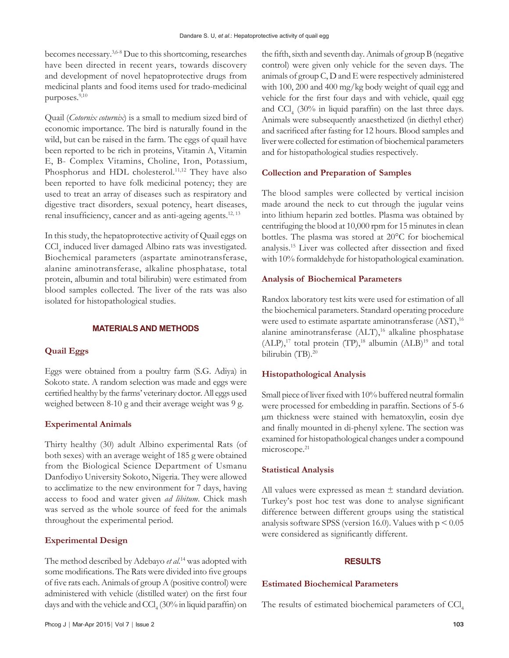becomes necessary.3,6-8 Due to this shortcoming, researches have been directed in recent years, towards discovery and development of novel hepatoprotective drugs from medicinal plants and food items used for trado-medicinal purposes.<sup>9,10</sup>

Quail (*Cotornix coturnix*) is a small to medium sized bird of economic importance. The bird is naturally found in the wild, but can be raised in the farm. The eggs of quail have been reported to be rich in proteins, Vitamin A, Vitamin E, B- Complex Vitamins, Choline, Iron, Potassium, Phosphorus and HDL cholesterol.<sup>11,12</sup> They have also been reported to have folk medicinal potency; they are used to treat an array of diseases such as respiratory and digestive tract disorders, sexual potency, heart diseases, renal insufficiency, cancer and as anti-ageing agents.<sup>12, 13</sup>

In this study, the hepatoprotective activity of Quail eggs on CCl4 induced liver damaged Albino rats was investigated. Biochemical parameters (aspartate aminotransferase, alanine aminotransferase, alkaline phosphatase, total protein, albumin and total bilirubin) were estimated from blood samples collected. The liver of the rats was also isolated for histopathological studies.

## **MATERIALS AND METHODS**

## **Quail Eggs**

Eggs were obtained from a poultry farm (S.G. Adiya) in Sokoto state. A random selection was made and eggs were certified healthy by the farms' veterinary doctor. All eggs used weighed between 8-10 g and their average weight was 9 g.

#### **Experimental Animals**

Thirty healthy (30) adult Albino experimental Rats (of both sexes) with an average weight of 185 g were obtained from the Biological Science Department of Usmanu Danfodiyo University Sokoto, Nigeria. They were allowed to acclimatize to the new environment for 7 days, having access to food and water given *ad libitum*. Chick mash was served as the whole source of feed for the animals throughout the experimental period.

#### **Experimental Design**

The method described by Adebayo *et al.*<sup>14</sup> was adopted with some modifications. The Rats were divided into five groups of five rats each. Animals of group A (positive control) were administered with vehicle (distilled water) on the first four days and with the vehicle and  $\text{CCl}_4$  (30% in liquid paraffin) on the fifth, sixth and seventh day. Animals of group B (negative control) were given only vehicle for the seven days. The animals of group C, D and E were respectively administered with 100, 200 and 400 mg/kg body weight of quail egg and vehicle for the first four days and with vehicle, quail egg and  $\text{CCl}_4$  (30% in liquid paraffin) on the last three days. Animals were subsequently anaesthetized (in diethyl ether) and sacrificed after fasting for 12 hours. Blood samples and liver were collected for estimation of biochemical parameters and for histopathological studies respectively.

#### **Collection and Preparation of Samples**

The blood samples were collected by vertical incision made around the neck to cut through the jugular veins into lithium heparin zed bottles. Plasma was obtained by centrifuging the blood at 10,000 rpm for 15 minutes in clean bottles. The plasma was stored at 20°C for biochemical analysis.<sup>15</sup> Liver was collected after dissection and fixed with 10% formaldehyde for histopathological examination.

#### **Analysis of Biochemical Parameters**

Randox laboratory test kits were used for estimation of all the biochemical parameters. Standard operating procedure were used to estimate aspartate aminotransferase (AST),<sup>16</sup> alanine aminotransferase (ALT),<sup>16</sup> alkaline phosphatase  $(ALP),<sup>17</sup>$  total protein (TP),<sup>18</sup> albumin  $(ALB)<sup>19</sup>$  and total bilirubin (TB).<sup>20</sup>

#### **Histopathological Analysis**

Small piece of liver fixed with 10% buffered neutral formalin were processed for embedding in paraffin. Sections of 5-6 µm thickness were stained with hematoxylin, eosin dye and finally mounted in di-phenyl xylene. The section was examined for histopathological changes under a compound microscope.<sup>21</sup>

#### **Statistical Analysis**

All values were expressed as mean  $\pm$  standard deviation. Turkey's post hoc test was done to analyse significant difference between different groups using the statistical analysis software SPSS (version 16.0). Values with  $p < 0.05$ were considered as significantly different.

## **RESULTS**

## **Estimated Biochemical Parameters**

The results of estimated biochemical parameters of CCl,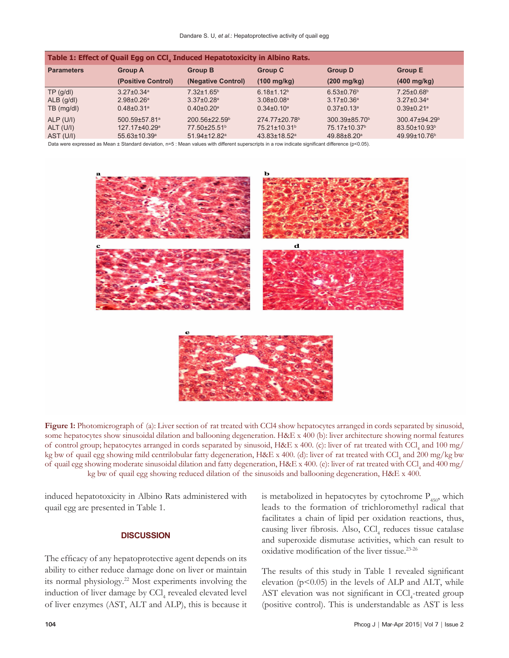| Table 1: Effect of Quail Egg on CCI <sub>4</sub> Induced Hepatotoxicity in Albino Rats. |                              |                                 |                              |                              |                              |
|-----------------------------------------------------------------------------------------|------------------------------|---------------------------------|------------------------------|------------------------------|------------------------------|
| <b>Parameters</b>                                                                       | <b>Group A</b>               | <b>Group B</b>                  | <b>Group C</b>               | <b>Group D</b>               | <b>Group E</b>               |
|                                                                                         | (Positive Control)           | (Negative Control)              | $(100 \text{ mg/kg})$        | $(200 \text{ mg/kg})$        | $(400 \text{ mg/kg})$        |
| TP(q/d)                                                                                 | $3.27 \pm 0.34$ <sup>a</sup> | $7.32 \pm 1.65$ <sup>b</sup>    | $6.18 \pm 1.12$ <sup>b</sup> | $6.53{\pm}0.76^{\circ}$      | 7.25±0.68 <sup>b</sup>       |
| $ALB$ (g/dl)                                                                            | $2.98 \pm 0.26$ <sup>a</sup> | $3.37 \pm 0.28$ <sup>a</sup>    | $3.08 \pm 0.08$ <sup>a</sup> | $3.17 \pm 0.36^a$            | $3.27 \pm 0.34$ <sup>a</sup> |
| $TB$ (mg/dl)                                                                            | $0.48 \pm 0.31$ <sup>a</sup> | $0.40 \pm 0.20$ <sup>a</sup>    | $0.34 \pm 0.10$ <sup>a</sup> | $0.37 \pm 0.13$ <sup>a</sup> | $0.39 \pm 0.21$ <sup>a</sup> |
| ALP(U/I)                                                                                | 500.59±57.81ª                | $200.56 \pm 22.59$ <sup>b</sup> | 274.77±20.78 <sup>b</sup>    | 300.39±85.70 <sup>b</sup>    | 300.47±94.29b                |
| $ALT$ (U/I)                                                                             | 127.17±40.29 <sup>a</sup>    | 77.50±25.51 <sup>b</sup>        | 75.21±10.31 <sup>b</sup>     | 75.17±10.37 <sup>b</sup>     | 83.50±10.93 <sup>b</sup>     |
| AST (U/I)                                                                               | 55.63±10.39 <sup>a</sup>     | 51.94±12.82 <sup>a</sup>        | 43.83±18.52 <sup>a</sup>     | 49.88±8.20 <sup>a</sup>      | 49.99±10.76 <sup>b</sup>     |

Data were expressed as Mean ± Standard deviation, n=5 : Mean values with different superscripts in a row indicate significant difference (p<0.05).



**Figure 1:** Photomicrograph of (a): Liver section of rat treated with CCl4 show hepatocytes arranged in cords separated by sinusoid, some hepatocytes show sinusoidal dilation and ballooning degeneration. H&E x 400 (b): liver architecture showing normal features of control group; hepatocytes arranged in cords separated by sinusoid, H&E x 400. (c): liver of rat treated with CCl<sub>4</sub> and 100 mg/ kg bw of quail egg showing mild centrilobular fatty degeneration, H&E x 400. (d): liver of rat treated with CCl<sub>4</sub> and 200 mg/kg bw of quail egg showing moderate sinusoidal dilation and fatty degeneration, H&E x 400. (e): liver of rat treated with CCl<sub>4</sub> and 400 mg/ kg bw of quail egg showing reduced dilation of the sinusoids and ballooning degeneration, H&E x 400.

induced hepatotoxicity in Albino Rats administered with quail egg are presented in Table 1.

## **DISCUSSION**

The efficacy of any hepatoprotective agent depends on its ability to either reduce damage done on liver or maintain its normal physiology.<sup>22</sup> Most experiments involving the induction of liver damage by  $\text{CCl}_4$  revealed elevated level of liver enzymes (AST, ALT and ALP), this is because it

is metabolized in hepatocytes by cytochrome  $P_{450}$ , which leads to the formation of trichloromethyl radical that facilitates a chain of lipid per oxidation reactions, thus, causing liver fibrosis. Also,  $\text{CCl}_4$  reduces tissue catalase and superoxide dismutase activities, which can result to oxidative modification of the liver tissue.23-26

The results of this study in Table 1 revealed significant elevation ( $p<0.05$ ) in the levels of ALP and ALT, while AST elevation was not significant in CCl<sub>4</sub>-treated group (positive control). This is understandable as AST is less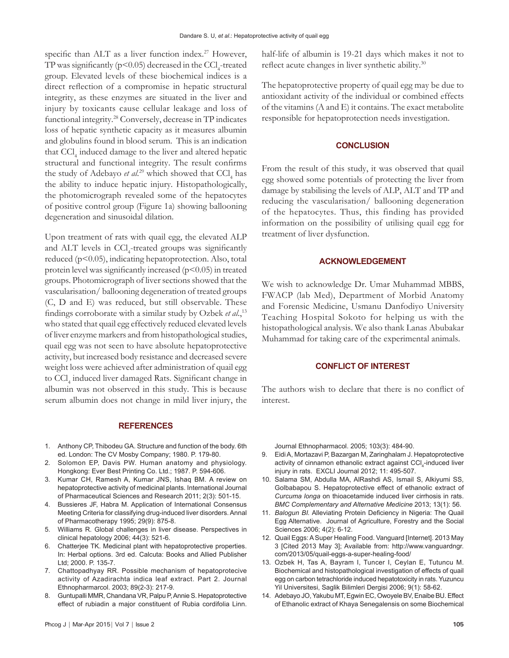specific than ALT as a liver function index.<sup>27</sup> However, TP was significantly ( $p$ <0.05) decreased in the CCl<sub>4</sub>-treated group. Elevated levels of these biochemical indices is a direct reflection of a compromise in hepatic structural integrity, as these enzymes are situated in the liver and injury by toxicants cause cellular leakage and loss of functional integrity.<sup>28</sup> Conversely, decrease in TP indicates loss of hepatic synthetic capacity as it measures albumin and globulins found in blood serum. This is an indication that CCl<sub>4</sub> induced damage to the liver and altered hepatic structural and functional integrity. The result confirms the study of Adebayo *et al.*<sup>29</sup> which showed that  $\text{CCl}_4$  has the ability to induce hepatic injury. Histopathologically, the photomicrograph revealed some of the hepatocytes of positive control group (Figure 1a) showing ballooning degeneration and sinusoidal dilation.

Upon treatment of rats with quail egg, the elevated ALP and ALT levels in CCl<sub>4</sub>-treated groups was significantly reduced (p<0.05), indicating hepatoprotection. Also, total protein level was significantly increased  $(p<0.05)$  in treated groups. Photomicrograph of liver sections showed that the vascularisation/ ballooning degeneration of treated groups (C, D and E) was reduced, but still observable. These findings corroborate with a similar study by Ozbek *et al*.,<sup>13</sup> who stated that quail egg effectively reduced elevated levels of liver enzyme markers and from histopathological studies, quail egg was not seen to have absolute hepatoprotective activity, but increased body resistance and decreased severe weight loss were achieved after administration of quail egg to CCl<sub>4</sub> induced liver damaged Rats. Significant change in albumin was not observed in this study. This is because serum albumin does not change in mild liver injury, the

#### **REFERENCES**

- 1. Anthony CP, Thibodeu GA. Structure and function of the body. 6th ed. London: The CV Mosby Company; 1980. P. 179-80.
- 2. Solomon EP, Davis PW. Human anatomy and physiology. Hongkong: Ever Best Printing Co. Ltd.; 1987. P. 594-606.
- 3. Kumar CH, Ramesh A, Kumar JNS, Ishaq BM. A review on hepatoprotective activity of medicinal plants. International Journal of Pharmaceutical Sciences and Research 2011; 2(3): 501-15.
- 4. Bussieres JF, Habra M. Application of International Consensus Meeting Criteria for classifying drug-induced liver disorders. Annal of Pharmacotherapy 1995; 29(9): 875-8.
- 5. Williams R. Global challenges in liver disease. Perspectives in clinical hepatology 2006; 44(3): 521-6.
- 6. Chatterjee TK. Medicinal plant with hepatoprotective properties. In: Herbal options. 3rd ed. Calcuta: Books and Allied Publisher Ltd; 2000. P. 135-7.
- 7. Chattopadhyay RR. Possible mechanism of hepatoprotecive activity of Azadirachta indica leaf extract. Part 2. Journal Ethnopharmarcol. 2003; 89(2-3): 217-9.
- 8. Guntupalli MMR, Chandana VR, Palpu P, Annie S. Hepatoprotective effect of rubiadin a major constituent of Rubia cordifolia Linn.

half-life of albumin is 19-21 days which makes it not to reflect acute changes in liver synthetic ability.<sup>30</sup>

The hepatoprotective property of quail egg may be due to antioxidant activity of the individual or combined effects of the vitamins (A and E) it contains. The exact metabolite responsible for hepatoprotection needs investigation.

## **CONCLUSION**

From the result of this study, it was observed that quail egg showed some potentials of protecting the liver from damage by stabilising the levels of ALP, ALT and TP and reducing the vascularisation/ ballooning degeneration of the hepatocytes. Thus, this finding has provided information on the possibility of utilising quail egg for treatment of liver dysfunction.

#### **ACKNOWLEDGEMENT**

We wish to acknowledge Dr. Umar Muhammad MBBS, FWACP (lab Med), Department of Morbid Anatomy and Forensic Medicine, Usmanu Danfodiyo University Teaching Hospital Sokoto for helping us with the histopathological analysis. We also thank Lanas Abubakar Muhammad for taking care of the experimental animals.

#### **CONFLICT OF INTEREST**

The authors wish to declare that there is no conflict of interest.

Journal Ethnopharmacol. 2005; 103(3): 484-90.

- 9. Eidi A, Mortazavi P, Bazargan M, Zaringhalam J. Hepatoprotective activity of cinnamon ethanolic extract against CCl<sub>4</sub>-induced liver injury in rats. EXCLI Journal 2012; 11: 495-507.
- 10. Salama SM, Abdulla MA, AlRashdi AS, Ismail S, Alkiyumi SS, Golbabapou S. Hepatoprotective effect of ethanolic extract of *Curcuma longa* on thioacetamide induced liver cirrhosis in rats. *BMC Complementary and Alternative Medicine* 2013; 13(1): 56.
- 11. *Balogun BI.* Alleviating Protein Deficiency in Nigeria: The Quail Egg Alternative. Journal of Agriculture, Forestry and the Social Sciences 2006; 4(2): 6-12.
- 12. Quail Eggs: A Super Healing Food. Vanguard [Internet]. 2013 May 3 [Cited 2013 May 3]; Available from: http://www.vanguardngr. com/2013/05/quail-eggs-a-super-healing-food/
- 13. Ozbek H, Tas A, Bayram I, Tuncer I, Ceylan E, Tutuncu M. Biochemical and histopathological investigation of effects of quail egg on carbon tetrachloride induced hepatotoxicity in rats. Yuzuncu Yil Universitesi, Saglik Bilimleri Dergisi 2006; 9(1): 58-62.
- 14. Adebayo JO, Yakubu MT, Egwin EC, Owoyele BV, Enaibe BU. Effect of Ethanolic extract of Khaya Senegalensis on some Biochemical